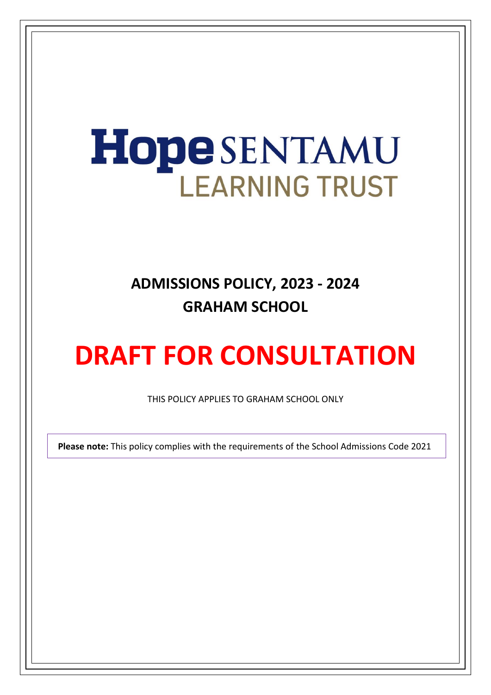# **Hope SENTAMU LEARNING TRUST**

# **ADMISSIONS POLICY, 2023 - 2024 GRAHAM SCHOOL**

# **DRAFT FOR CONSULTATION**

THIS POLICY APPLIES TO GRAHAM SCHOOL ONLY

 **Please note:** This policy complies with the requirements of the School Admissions Code 2021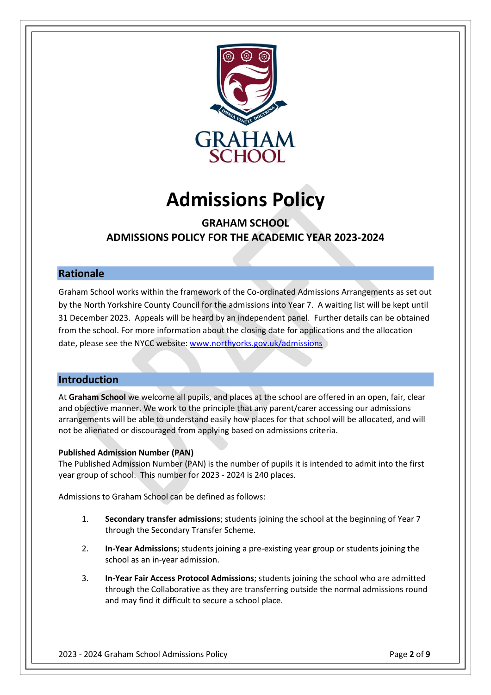

# **Admissions Policy**

# **GRAHAM SCHOOL ADMISSIONS POLICY FOR THE ACADEMIC YEAR 2023-2024**

# **Rationale**

Graham School works within the framework of the Co-ordinated Admissions Arrangements as set out by the North Yorkshire County Council for the admissions into Year 7. A waiting list will be kept until 31 December 2023. Appeals will be heard by an independent panel. Further details can be obtained from the school. For more information about the closing date for applications and the allocation date, please see the NYCC website: [www.northyorks.gov.uk/admissions](http://www.northyorks.gov.uk/admissions)

# **Introduction**

At **Graham School** we welcome all pupils, and places at the school are offered in an open, fair, clear and objective manner. We work to the principle that any parent/carer accessing our admissions arrangements will be able to understand easily how places for that school will be allocated, and will not be alienated or discouraged from applying based on admissions criteria.

#### **Published Admission Number (PAN)**

The Published Admission Number (PAN) is the number of pupils it is intended to admit into the first year group of school. This number for 2023 - 2024 is 240 places.

Admissions to Graham School can be defined as follows:

- 1. **Secondary transfer admissions**; students joining the school at the beginning of Year 7 through the Secondary Transfer Scheme.
- 2. **In-Year Admissions**; students joining a pre-existing year group or students joining the school as an in-year admission.
- 3. **In-Year Fair Access Protocol Admissions**; students joining the school who are admitted through the Collaborative as they are transferring outside the normal admissions round and may find it difficult to secure a school place.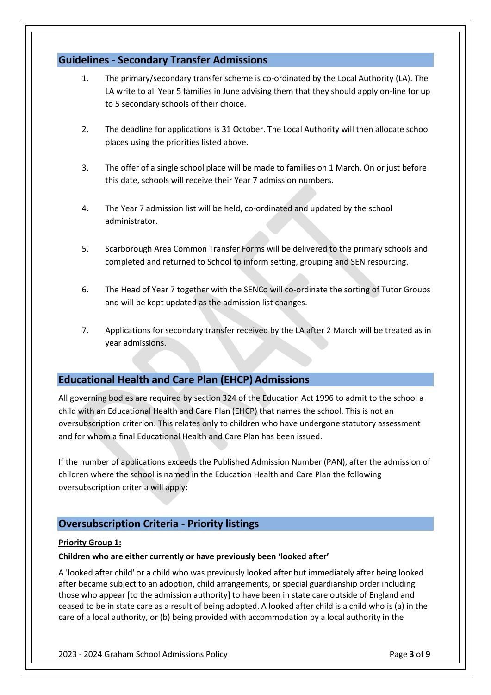## **Guidelines** - **Secondary Transfer Admissions**

- 1. The primary/secondary transfer scheme is co-ordinated by the Local Authority (LA). The LA write to all Year 5 families in June advising them that they should apply on-line for up to 5 secondary schools of their choice.
- 2. The deadline for applications is 31 October. The Local Authority will then allocate school places using the priorities listed above.
- 3. The offer of a single school place will be made to families on 1 March. On or just before this date, schools will receive their Year 7 admission numbers.
- 4. The Year 7 admission list will be held, co-ordinated and updated by the school administrator.
- 5. Scarborough Area Common Transfer Forms will be delivered to the primary schools and completed and returned to School to inform setting, grouping and SEN resourcing.
- 6. The Head of Year 7 together with the SENCo will co-ordinate the sorting of Tutor Groups and will be kept updated as the admission list changes.
- 7. Applications for secondary transfer received by the LA after 2 March will be treated as in year admissions.

# **Educational Health and Care Plan (EHCP) Admissions**

All governing bodies are required by section 324 of the Education Act 1996 to admit to the school a child with an Educational Health and Care Plan (EHCP) that names the school. This is not an oversubscription criterion. This relates only to children who have undergone statutory assessment and for whom a final Educational Health and Care Plan has been issued.

If the number of applications exceeds the Published Admission Number (PAN), after the admission of children where the school is named in the Education Health and Care Plan the following oversubscription criteria will apply:

# **Oversubscription Criteria - Priority listings**

#### **Priority Group 1:**

#### **Children who are either currently or have previously been 'looked after'**

A 'looked after child' or a child who was previously looked after but immediately after being looked after became subject to an adoption, child arrangements, or special guardianship order including those who appear [to the admission authority] to have been in state care outside of England and ceased to be in state care as a result of being adopted. A looked after child is a child who is (a) in the care of a local authority, or (b) being provided with accommodation by a local authority in the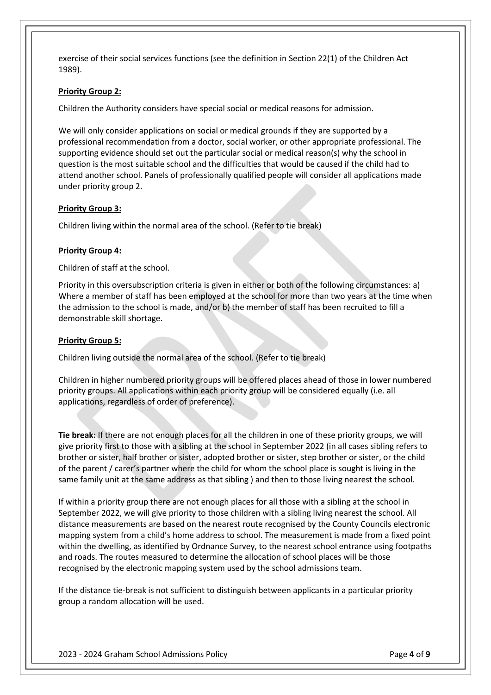exercise of their social services functions (see the definition in Section 22(1) of the Children Act 1989).

#### **Priority Group 2:**

Children the Authority considers have special social or medical reasons for admission.

We will only consider applications on social or medical grounds if they are supported by a professional recommendation from a doctor, social worker, or other appropriate professional. The supporting evidence should set out the particular social or medical reason(s) why the school in question is the most suitable school and the difficulties that would be caused if the child had to attend another school. Panels of professionally qualified people will consider all applications made under priority group 2.

#### **Priority Group 3:**

Children living within the normal area of the school. (Refer to tie break)

#### **Priority Group 4:**

Children of staff at the school.

Priority in this oversubscription criteria is given in either or both of the following circumstances: a) Where a member of staff has been employed at the school for more than two years at the time when the admission to the school is made, and/or b) the member of staff has been recruited to fill a demonstrable skill shortage.

#### **Priority Group 5:**

Children living outside the normal area of the school. (Refer to tie break)

Children in higher numbered priority groups will be offered places ahead of those in lower numbered priority groups. All applications within each priority group will be considered equally (i.e. all applications, regardless of order of preference).

**Tie break:** If there are not enough places for all the children in one of these priority groups, we will give priority first to those with a sibling at the school in September 2022 (in all cases sibling refers to brother or sister, half brother or sister, adopted brother or sister, step brother or sister, or the child of the parent / carer's partner where the child for whom the school place is sought is living in the same family unit at the same address as that sibling ) and then to those living nearest the school.

If within a priority group there are not enough places for all those with a sibling at the school in September 2022, we will give priority to those children with a sibling living nearest the school. All distance measurements are based on the nearest route recognised by the County Councils electronic mapping system from a child's home address to school. The measurement is made from a fixed point within the dwelling, as identified by Ordnance Survey, to the nearest school entrance using footpaths and roads. The routes measured to determine the allocation of school places will be those recognised by the electronic mapping system used by the school admissions team.

If the distance tie-break is not sufficient to distinguish between applicants in a particular priority group a random allocation will be used.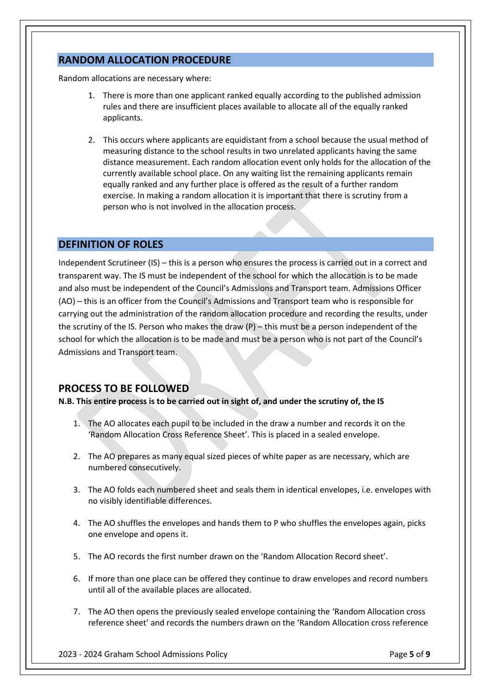# **RANDOM ALLOCATION PROCEDURE**

Random allocations are necessary where:

- 1. There is more than one applicant ranked equally according to the published admission rules and there are insufficient places available to allocate all of the equally ranked applicants.
- 2. This occurs where applicants are equidistant from a school because the usual method of measuring distance to the school results in two unrelated applicants having the same distance measurement. Each random allocation event only holds for the allocation of the currently available school place. On any waiting list the remaining applicants remain equally ranked and any further place is offered as the result of a further random exercise. In making a random allocation it is important that there is scrutiny from a person who is not involved in the allocation process.

### **DEFINITION OF ROLES**

Independent Scrutineer (IS) – this is a person who ensures the process is carried out in a correct and transparent way. The IS must be independent of the school for which the allocation is to be made and also must be independent of the Council's Admissions and Transport team. Admissions Officer (AO) – this is an officer from the Council's Admissions and Transport team who is responsible for carrying out the administration of the random allocation procedure and recording the results, under the scrutiny of the IS. Person who makes the draw  $(P)$  – this must be a person independent of the school for which the allocation is to be made and must be a person who is not part of the Council's Admissions and Transport team.

# **PROCESS TO BE FOLLOWED**

**N.B. This entire process is to be carried out in sight of, and under the scrutiny of, the IS** 

- 1. The AO allocates each pupil to be included in the draw a number and records it on the 'Random Allocation Cross Reference Sheet'. This is placed in a sealed envelope.
- 2. The AO prepares as many equal sized pieces of white paper as are necessary, which are numbered consecutively.
- 3. The AO folds each numbered sheet and seals them in identical envelopes, i.e. envelopes with no visibly identifiable differences.
- 4. The AO shuffles the envelopes and hands them to P who shuffles the envelopes again, picks one envelope and opens it.
- 5. The AO records the first number drawn on the 'Random Allocation Record sheet'.
- 6. If more than one place can be offered they continue to draw envelopes and record numbers until all of the available places are allocated.
- 7. The AO then opens the previously sealed envelope containing the 'Random Allocation cross reference sheet' and records the numbers drawn on the 'Random Allocation cross reference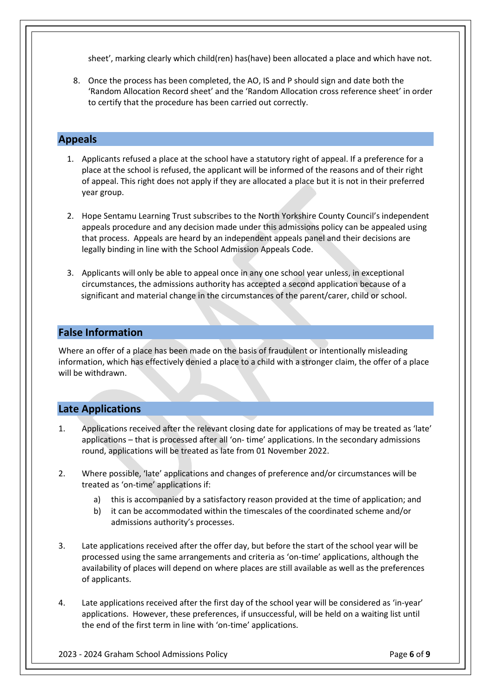sheet', marking clearly which child(ren) has(have) been allocated a place and which have not.

8. Once the process has been completed, the AO, IS and P should sign and date both the 'Random Allocation Record sheet' and the 'Random Allocation cross reference sheet' in order to certify that the procedure has been carried out correctly.

# **Appeals**

- 1. Applicants refused a place at the school have a statutory right of appeal. If a preference for a place at the school is refused, the applicant will be informed of the reasons and of their right of appeal. This right does not apply if they are allocated a place but it is not in their preferred year group.
- 2. Hope Sentamu Learning Trust subscribes to the North Yorkshire County Council's independent appeals procedure and any decision made under this admissions policy can be appealed using that process. Appeals are heard by an independent appeals panel and their decisions are legally binding in line with the School Admission Appeals Code.
- 3. Applicants will only be able to appeal once in any one school year unless, in exceptional circumstances, the admissions authority has accepted a second application because of a significant and material change in the circumstances of the parent/carer, child or school.

# **False Information**

Where an offer of a place has been made on the basis of fraudulent or intentionally misleading information, which has effectively denied a place to a child with a stronger claim, the offer of a place will be withdrawn.

# **Late Applications**

- 1. Applications received after the relevant closing date for applications of may be treated as 'late' applications – that is processed after all 'on- time' applications. In the secondary admissions round, applications will be treated as late from 01 November 2022.
- 2. Where possible, 'late' applications and changes of preference and/or circumstances will be treated as 'on-time' applications if:
	- a) this is accompanied by a satisfactory reason provided at the time of application; and
	- b) it can be accommodated within the timescales of the coordinated scheme and/or admissions authority's processes.
- 3. Late applications received after the offer day, but before the start of the school year will be processed using the same arrangements and criteria as 'on-time' applications, although the availability of places will depend on where places are still available as well as the preferences of applicants.
- 4. Late applications received after the first day of the school year will be considered as 'in-year' applications. However, these preferences, if unsuccessful, will be held on a waiting list until the end of the first term in line with 'on-time' applications.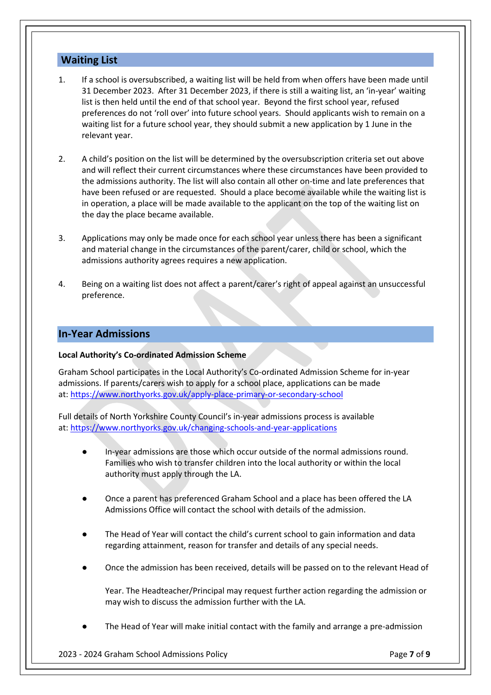# **Waiting List**

- 1. If a school is oversubscribed, a waiting list will be held from when offers have been made until 31 December 2023. After 31 December 2023, if there is still a waiting list, an 'in-year' waiting list is then held until the end of that school year. Beyond the first school year, refused preferences do not 'roll over' into future school years. Should applicants wish to remain on a waiting list for a future school year, they should submit a new application by 1 June in the relevant year.
- 2. A child's position on the list will be determined by the oversubscription criteria set out above and will reflect their current circumstances where these circumstances have been provided to the admissions authority. The list will also contain all other on-time and late preferences that have been refused or are requested. Should a place become available while the waiting list is in operation, a place will be made available to the applicant on the top of the waiting list on the day the place became available.
- 3. Applications may only be made once for each school year unless there has been a significant and material change in the circumstances of the parent/carer, child or school, which the admissions authority agrees requires a new application.
- 4. Being on a waiting list does not affect a parent/carer's right of appeal against an unsuccessful preference.

# **In-Year Admissions**

#### **Local Authority's Co-ordinated Admission Scheme**

Graham School participates in the Local Authority's Co-ordinated Admission Scheme for in-year admissions. If parents/carers wish to apply for a school place, applications can be made at: <https://www.northyorks.gov.uk/apply-place-primary-or-secondary-school>

Full details of North Yorkshire County Council's in-year admissions process is available at: <https://www.northyorks.gov.uk/changing-schools-and-year-applications>

- In-year admissions are those which occur outside of the normal admissions round. Families who wish to transfer children into the local authority or within the local authority must apply through the LA.
- Once a parent has preferenced Graham School and a place has been offered the LA Admissions Office will contact the school with details of the admission.
- The Head of Year will contact the child's current school to gain information and data regarding attainment, reason for transfer and details of any special needs.
- Once the admission has been received, details will be passed on to the relevant Head of

Year. The Headteacher/Principal may request further action regarding the admission or may wish to discuss the admission further with the LA.

The Head of Year will make initial contact with the family and arrange a pre-admission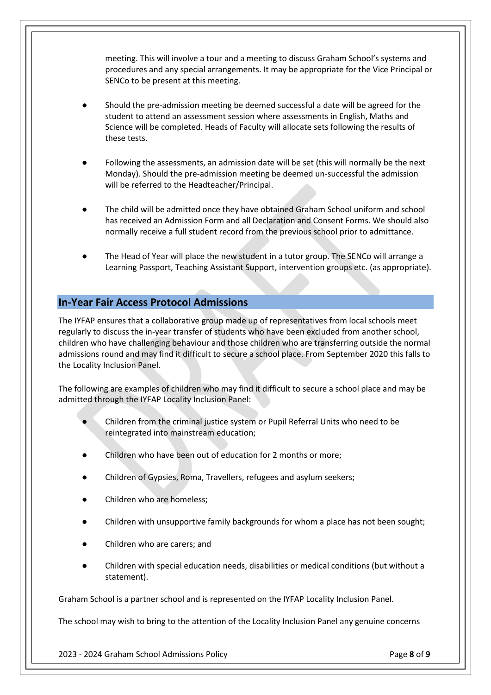meeting. This will involve a tour and a meeting to discuss Graham School's systems and procedures and any special arrangements. It may be appropriate for the Vice Principal or SENCo to be present at this meeting.

- Should the pre-admission meeting be deemed successful a date will be agreed for the student to attend an assessment session where assessments in English, Maths and Science will be completed. Heads of Faculty will allocate sets following the results of these tests.
- Following the assessments, an admission date will be set (this will normally be the next Monday). Should the pre-admission meeting be deemed un-successful the admission will be referred to the Headteacher/Principal.
- The child will be admitted once they have obtained Graham School uniform and school has received an Admission Form and all Declaration and Consent Forms. We should also normally receive a full student record from the previous school prior to admittance.
- The Head of Year will place the new student in a tutor group. The SENCo will arrange a Learning Passport, Teaching Assistant Support, intervention groups etc. (as appropriate).

### **In-Year Fair Access Protocol Admissions**

The IYFAP ensures that a collaborative group made up of representatives from local schools meet regularly to discuss the in-year transfer of students who have been excluded from another school, children who have challenging behaviour and those children who are transferring outside the normal admissions round and may find it difficult to secure a school place. From September 2020 this falls to the Locality Inclusion Panel.

The following are examples of children who may find it difficult to secure a school place and may be admitted through the IYFAP Locality Inclusion Panel:

- Children from the criminal justice system or Pupil Referral Units who need to be reintegrated into mainstream education;
- Children who have been out of education for 2 months or more;
- Children of Gypsies, Roma, Travellers, refugees and asylum seekers;
- Children who are homeless;
- Children with unsupportive family backgrounds for whom a place has not been sought;
- Children who are carers; and
- Children with special education needs, disabilities or medical conditions (but without a statement).

Graham School is a partner school and is represented on the IYFAP Locality Inclusion Panel.

The school may wish to bring to the attention of the Locality Inclusion Panel any genuine concerns

2023 - 2024 Graham School Admissions Policy Page **8** of **9**